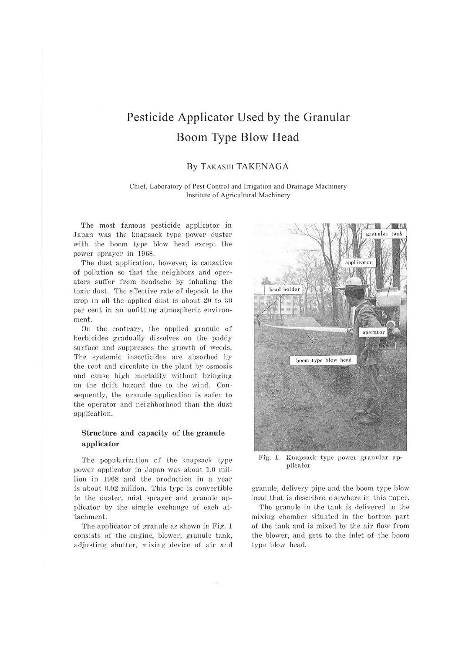# Pesticide Applicator Used by the Granular Boom Type Blow Head

## By TAKASHI TAKENAGA

#### Chief, Laboratory of Pest Control and Irrigation and Drainage Machinery Institute of Agricultural Machinery

The most famous pesticide applicator in Japan was the knapsack type power duster with the boom type blow head except the power sprayer in 1968.

The dust application, however, is causative of pollution so that the neighbors and operators suffer from headache by inhaling the toxic dust. The effective rate of deposit to the crop in all the applied dust is about  $20$  to  $30$ per cent in an unfitting atmospheric environment.

On the contrary, the applied granule of herbicides gradually dissolves on the paddy surface and suppresses the growth of weeds. The systemic insecticides are absorbed by the root and circulate in the plant by osmosis and cause high mortality without bringing on the drift hazard due to the wind. Consequently, the granule application is safer to the operator and neighborhood than the dust application.

## **Structure and capacity of the granule applicator**

The popularization of the knapsack type power applicator in Japan was about 1.0 million in 1968 and the production in a year is about 0.02 million. This type is convertible to the duster, mist sprayer and granule applicator by the simple exchange of each attachment.

The applicator of granule as shown in Fig. 1 consists of the engine, blower, granule tank, adjusting shutter, mixing device of air and



Fig. 1. Knapsack type power granular applicator

granule, delivery pipe and the boom type blow head that is described elsewhere in this paper.

The granule in the tank is delivered to the mixing chamber situated in the bottom part of the tank and is mixed by the air flow from the blower, and gets to the inlet of the boom type blow head.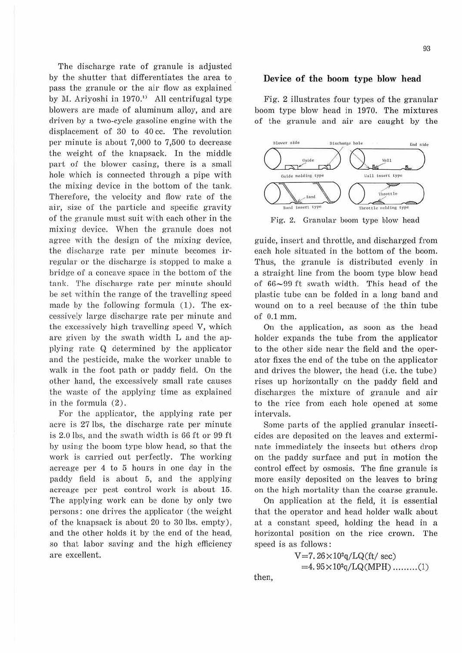The discharge rate of granule is adjusted by the shutter that differentiates the area to pass the granule or the air flow as explained by M. Ariyoshi in 1970." All centrifugal type blowers are made of aluminum alloy, and are driven by a two-cycle gasoline engine with the displacement of 30 to 40 cc. The revolution per minute is about 7,000 to 7,500 to decrease the weight of the knapsack. In the middle part of the blower casing, there is a small hole which is connected through a pipe with the mixing device in the bottom of the tank. Therefore, the velocity and flow rate of the air, size of the particle and specific gravity of the granule must suit with each other in the mixing device. When the granule does not agree with the design of the mixing device, the discharge rate per minute becomes irregular or the discharge is stopped to make a bridge of a concave space in the bottom of the tank. The discharge rate per minute should be set within the range of the travelling speed made by the following formula  $(1)$ . The excessively large discharge rate per minute and the excessively high travelling speed V, which are given by the swath width L and the applying rate Q determined by the applicator and the pesticide, make the worker unable to walk in the foot path or paddy field. On the other hand, the excessively small rate causes the waste of the applying time as explained in the formula  $(2)$ .

For the applicator, the applying rate per acre is 27 lbs, the discharge rate per minute is 2.0 lbs, and the swath width is 66 ft or 99 ft by using the boom type blow head, so that the work is carried out perfectly. The working acreage per 4 to 5 hours in one day in the paddy field is about 5, and the applying acreage per pest control work is about 15. The applying work can be done by only two persons: one drives the applicator (the weight of the knapsack is about 20 to 30 lbs. empty), and the other holds it by the end of the head, so that labor saving and the high efficiency are excellent.

#### **Device of the boom type blow head**

Fig. 2 illustrates four types of the granular boom type blow head in 1970. The mixtures of the granule and air are caught by the



Fig. 2. Granular boom type blow head

guide, insert and throttle, and discharged from each hole situated in the bottom of the boom. Thus, the granule is distributed evenly in a straight line from the boom type blow head of  $66-99$  ft swath width. This head of the plastic tube can be folded in a long band and wound on to a reel because of the thin tube of 0.1 mm.

On the application, as soon as the head holder expands the tube from the applicator to the other side near the field and the operator fixes the end of the tube on the applicator and drives the blower, the head (i.e. the tube) rises up horizontally on the paddy field and discharges the mixture of granule and air to the rice from each hole opened at some intervals.

Some parts of the applied granular insecticides are deposited on the leaves and exterminate immediately the insects but others drop on the paddy surface and put in motion the control effect by osmosis. The fine granule is more easily deposited on the leaves to bring on the high mortality than the coarse granule.

On application at the field, it is essential that the operator and head holder walk about at a constant speed, holding the head in a horizontal position on the rice crown. The speed is as follows :

> $V=7.26\times10^{2}q/LQ(ft/\text{sec})$  $=4.95\times10^{2}q/LQ(MPH)$  .........(1)

then,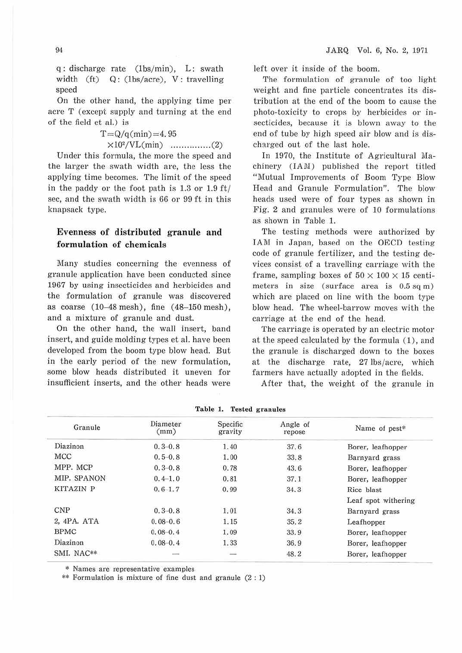q: discharge rate (1bs/min), L: swath width (ft)  $Q$ : (1bs/acre), V: travelling speed

On the other hand, the applying time per acre T (except supply and turning at the end of the field et al.) is

> $T = Q/q(min) = 4.95$ xl02/VL(min) ... ... ......... (2)

Under this formula, the more the speed and the larger the swath width are, the less the applying time becomes. The limit of the speed in the paddy or the foot path is 1.3 or 1.9 ft/ sec, and the swath width is 66 or 99 ft in this knapsack type.

## **Evenness of distributed granule and formulation of chemicals**

Many studies concerning the evenness of granule application have been conducted since 1967 by using insecticides and herbicides and the formulation of granule was discovered as coarse  $(10-48 \text{ mesh})$ , fine  $(48-150 \text{ mesh})$ , and a mixture of granule and dust.

On the other hand, the wall insert, band insert, and guide molding types et al. have been developed from the boom type blow head. But in the early period of the new formulation, some blow heads distributed it uneven for insufficient inserts, and the other heads were left over it inside of the boom.

The formulation of granule of too light weight and fine particle concentrates its distribution at the end of the boom to cause the photo-toxicity to crops by herbicides or insecticides, because it is blown away to the end of tube by high speed air blow and is discharged out of the last hole.

In 1970, the Institute of Agricultural Machinery (1AM) published the report titled "Mutual Improvements of Boom Type Blow Head and Granule Formulation". The blow heads used were of four types as shown in Fig. 2 and granules were of 10 formulations as shown in Table 1.

The testing methods were authorized by IAM in Japan, based on the OECD testing code of granule fertilizer, and the testing devices consist of a travelling carriage with the frame, sampling boxes of  $50 \times 100 \times 15$  centimeters in size (surface area is 0.5 sq m) which are placed on line with the boom type blow head. The wheel-barrow moves with the carriage at the end of the head.

The carriage is operated by an electric motor at the speed calculated by the formula ( 1), and the granule is discharged down to the boxes at the discharge rate, 27 lbs/acre, which farmers have actually adopted in the fields.

After that, the weight of the granule in

| Granule     | Diameter<br>(mm) | Specific<br>gravity | Angle of<br>repose | Name of pest*       |
|-------------|------------------|---------------------|--------------------|---------------------|
| Diazinon    | $0.3 - 0.8$      | 1.40                | 37.6               | Borer, leafhopper   |
| MCC         | $0.5 - 0.8$      | 1.00                | 33.8               | Barnyard grass      |
| MPP. MCP    | $0, 3 - 0, 8$    | 0.78                | 43.6               | Borer, leafhopper   |
| MIP. SPANON | $0.4 - 1.0$      | 0.81                | 37.1               | Borer, leafhopper   |
| KITAZIN P   | $0.6 - 1.7$      | 0.99                | 34.3               | Rice blast          |
|             |                  |                     |                    | Leaf spot withering |
| <b>CNP</b>  | $0.3 - 0.8$      | 1.01                | 34.3               | Barnyard grass      |
| 2, 4PA, ATA | $0.08 - 0.6$     | 1.15                | 35.2               | Leafhopper          |
| <b>BPMC</b> | $0.08 - 0.4$     | 1.09                | 33.9               | Borer, leafhopper   |
| Diazinon    | $0.08 - 0.4$     | 1.33                | 36.9               | Borer, leafhopper   |
| SMI. NAC**  |                  |                     | 48.2               | Borer, leafhopper   |

**Table 1. Tested granules** 

\* Names are representative examples

\*\* Formulation is mixture of fine dust and granule (2 : 1)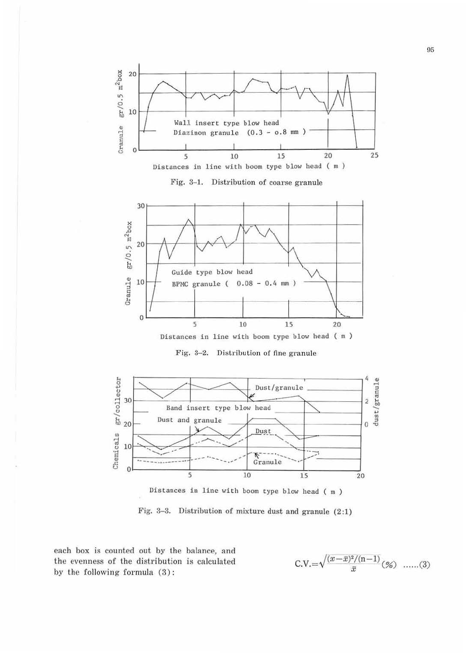

Fig. 3-1. Distribution of coarse granule



Distances in line with boom type blow head ( m )

Fig. 3-2. Distribution of fine granule



Distances in line with boom type blow head ( m )

Fig. 3-3. Distribution of mixture dust and granule  $(2:1)$ 

each box is counted out by the balance, and the evenness of the distribution is calculated by the following formula (3):

$$
C.V. = \sqrt{\frac{(x-\bar{x})^2/(n-1)}{\bar{x}}}\,(\%) \quad ......(3)
$$